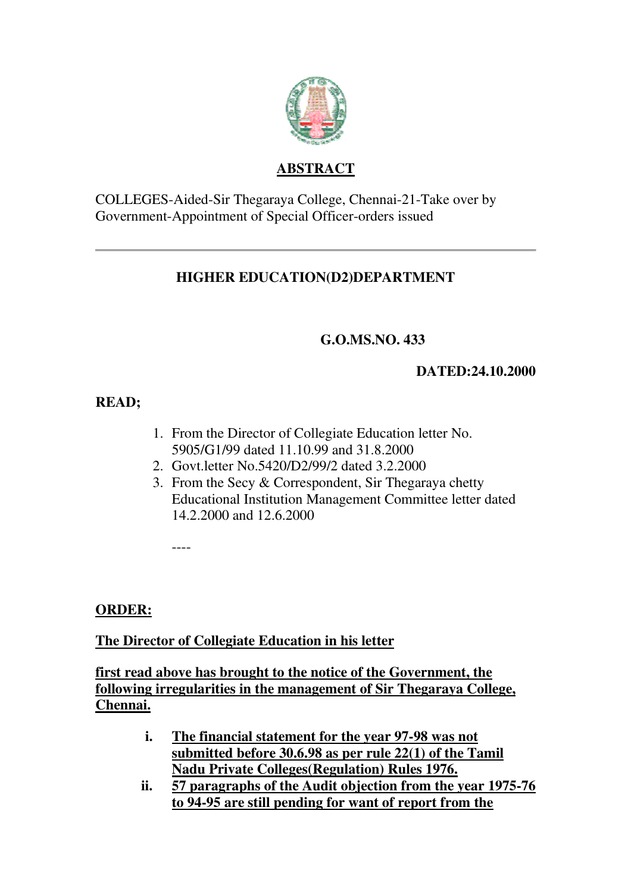

### **ABSTRACT**

COLLEGES-Aided-Sir Thegaraya College, Chennai-21-Take over by Government-Appointment of Special Officer-orders issued

# **HIGHER EDUCATION(D2)DEPARTMENT**

# **G.O.MS.NO. 433**

### **DATED:24.10.2000**

# **READ;**

- 1. From the Director of Collegiate Education letter No. 5905/G1/99 dated 11.10.99 and 31.8.2000
- 2. Govt.letter No.5420/D2/99/2 dated 3.2.2000
- 3. From the Secy & Correspondent, Sir Thegaraya chetty Educational Institution Management Committee letter dated 14.2.2000 and 12.6.2000

----

**ORDER:**

**The Director of Collegiate Education in his letter**

**first read above has brought to the notice of the Government, the following irregularities in the management of Sir Thegaraya College, Chennai.**

- **i. The financial statement for the year 97-98 was not submitted before 30.6.98 as per rule 22(1) of the Tamil Nadu Private Colleges(Regulation) Rules 1976.**
- **ii. 57 paragraphs of the Audit objection from the year 1975-76 to 94-95 are still pending for want of report from the**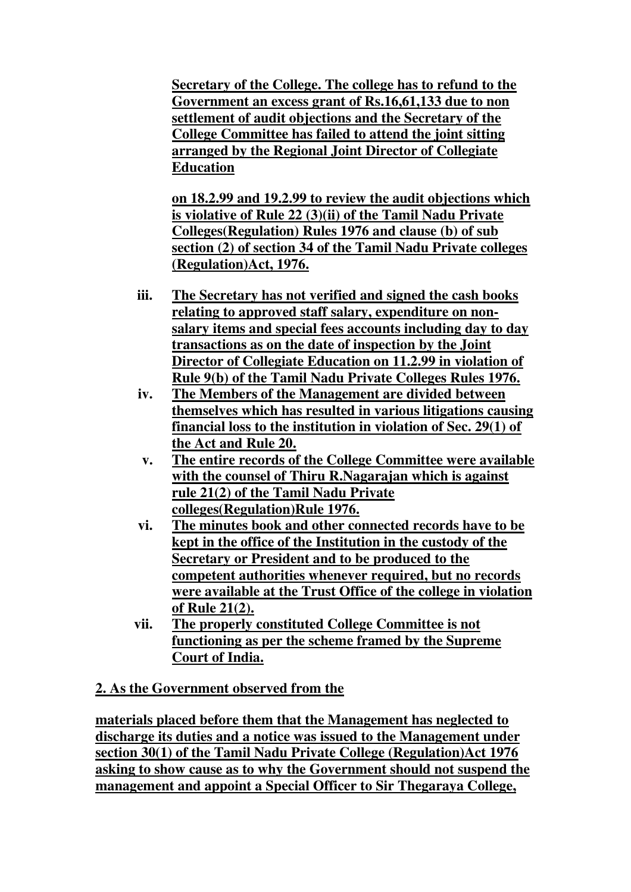**Secretary of the College. The college has to refund to the Government an excess grant of Rs.16,61,133 due to non settlement of audit objections and the Secretary of the College Committee has failed to attend the joint sitting arranged by the Regional Joint Director of Collegiate Education**

**on 18.2.99 and 19.2.99 to review the audit objections which is violative of Rule 22 (3)(ii) of the Tamil Nadu Private Colleges(Regulation) Rules 1976 and clause (b) of sub section (2) of section 34 of the Tamil Nadu Private colleges (Regulation)Act, 1976.**

- **iii. The Secretary has not verified and signed the cash books relating to approved staff salary, expenditure on nonsalary items and special fees accounts including day to day transactions as on the date of inspection by the Joint Director of Collegiate Education on 11.2.99 in violation of Rule 9(b) of the Tamil Nadu Private Colleges Rules 1976.**
- **iv. The Members of the Management are divided between themselves which has resulted in various litigations causing financial loss to the institution in violation of Sec. 29(1) of the Act and Rule 20.**
- **v. The entire records of the College Committee were available with the counsel of Thiru R.Nagarajan which is against rule 21(2) of the Tamil Nadu Private colleges(Regulation)Rule 1976.**
- **vi. The minutes book and other connected records have to be kept in the office of the Institution in the custody of the Secretary or President and to be produced to the competent authorities whenever required, but no records were available at the Trust Office of the college in violation of Rule 21(2).**
- **vii. The properly constituted College Committee is not functioning as per the scheme framed by the Supreme Court of India.**

#### **2. As the Government observed from the**

**materials placed before them that the Management has neglected to discharge its duties and a notice was issued to the Management under section 30(1) of the Tamil Nadu Private College (Regulation)Act 1976 asking to show cause as to why the Government should not suspend the management and appoint a Special Officer to Sir Thegaraya College,**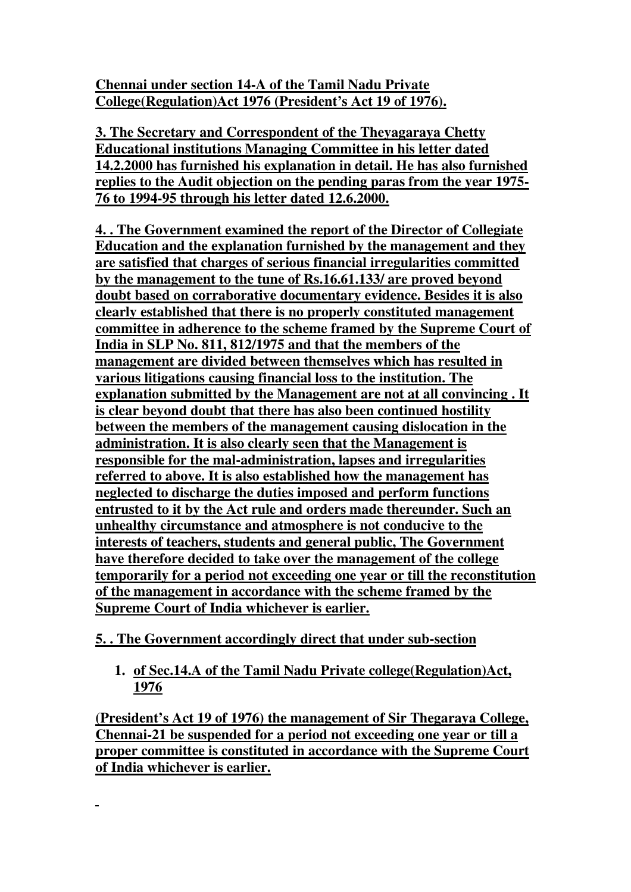**Chennai under section 14-A of the Tamil Nadu Private College(Regulation)Act 1976 (President's Act 19 of 1976).**

**3. The Secretary and Correspondent of the Theyagaraya Chetty Educational institutions Managing Committee in his letter dated 14.2.2000 has furnished his explanation in detail. He has also furnished replies to the Audit objection on the pending paras from the year 1975- 76 to 1994-95 through his letter dated 12.6.2000.**

**4. . The Government examined the report of the Director of Collegiate Education and the explanation furnished by the management and they are satisfied that charges of serious financial irregularities committed by the management to the tune of Rs.16.61.133/ are proved beyond doubt based on corraborative documentary evidence. Besides it is also clearly established that there is no properly constituted management committee in adherence to the scheme framed by the Supreme Court of India in SLP No. 811, 812/1975 and that the members of the management are divided between themselves which has resulted in various litigations causing financial loss to the institution. The explanation submitted by the Management are not at all convincing . It is clear beyond doubt that there has also been continued hostility between the members of the management causing dislocation in the administration. It is also clearly seen that the Management is responsible for the mal-administration, lapses and irregularities referred to above. It is also established how the management has neglected to discharge the duties imposed and perform functions entrusted to it by the Act rule and orders made thereunder. Such an unhealthy circumstance and atmosphere is not conducive to the interests of teachers, students and general public, The Government have therefore decided to take over the management of the college temporarily for a period not exceeding one year or till the reconstitution of the management in accordance with the scheme framed by the Supreme Court of India whichever is earlier.**

### **5. . The Government accordingly direct that under sub-section**

**1. of Sec.14.A of the Tamil Nadu Private college(Regulation)Act, 1976**

**(President's Act 19 of 1976) the management of Sir Thegaraya College, Chennai-21 be suspended for a period not exceeding one year or till a proper committee is constituted in accordance with the Supreme Court of India whichever is earlier.**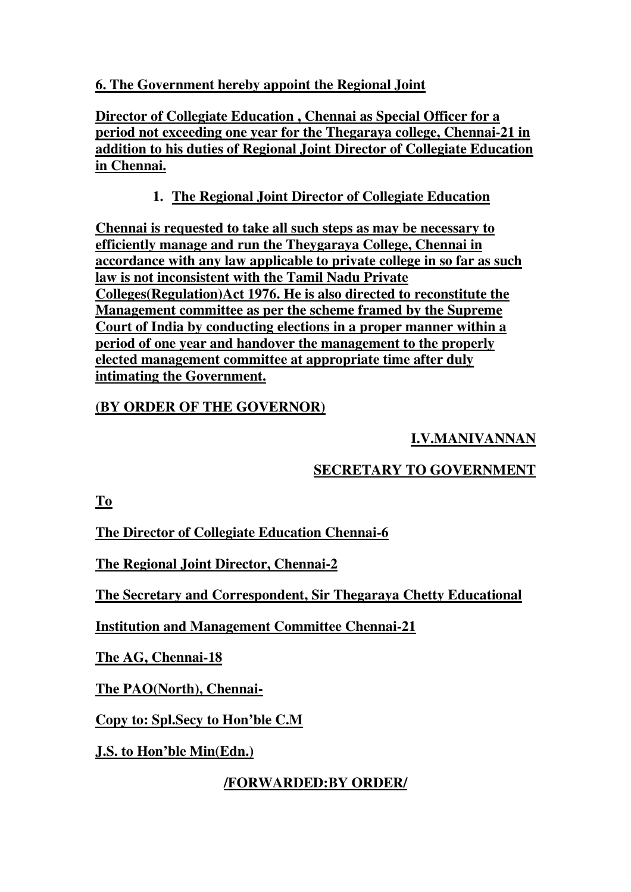#### **6. The Government hereby appoint the Regional Joint**

**Director of Collegiate Education , Chennai as Special Officer for a period not exceeding one year for the Thegaraya college, Chennai-21 in addition to his duties of Regional Joint Director of Collegiate Education in Chennai.**

## **1. The Regional Joint Director of Collegiate Education**

**Chennai is requested to take all such steps as may be necessary to efficiently manage and run the Theygaraya College, Chennai in accordance with any law applicable to private college in so far as such law is not inconsistent with the Tamil Nadu Private Colleges(Regulation)Act 1976. He is also directed to reconstitute the Management committee as per the scheme framed by the Supreme Court of India by conducting elections in a proper manner within a period of one year and handover the management to the properly elected management committee at appropriate time after duly intimating the Government.**

## **(BY ORDER OF THE GOVERNOR)**

# **I.V.MANIVANNAN**

# **SECRETARY TO GOVERNMENT**

**To**

**The Director of Collegiate Education Chennai-6**

**The Regional Joint Director, Chennai-2**

**The Secretary and Correspondent, Sir Thegaraya Chetty Educational**

**Institution and Management Committee Chennai-21**

**The AG, Chennai-18**

**The PAO(North), Chennai-**

**Copy to: Spl.Secy to Hon'ble C.M**

**J.S. to Hon'ble Min(Edn.)**

**/FORWARDED:BY ORDER/**